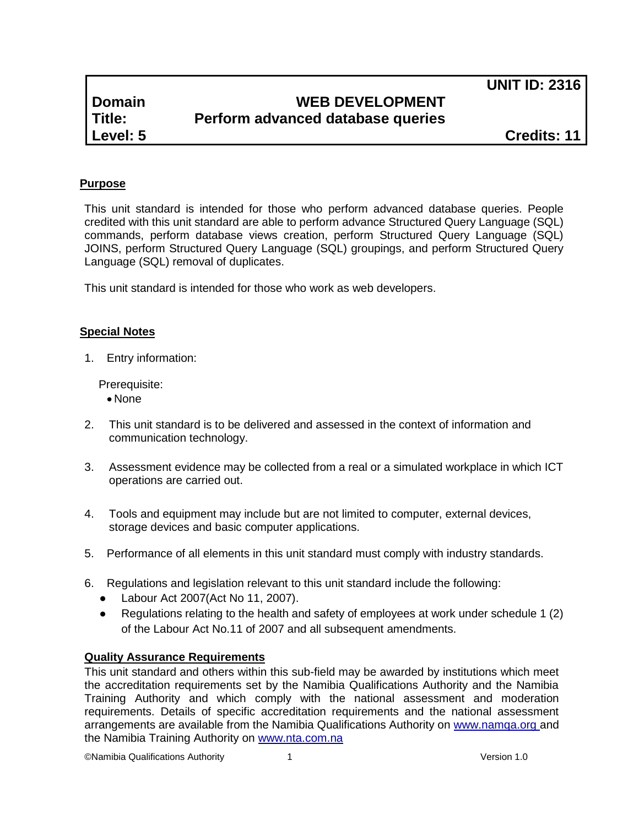**UNIT ID: 2316**

# **Domain WEB DEVELOPMENT Title: Perform advanced database queries**

**Level: 5 Credits: 11**

## **Purpose**

This unit standard is intended for those who perform advanced database queries. People credited with this unit standard are able to perform advance Structured Query Language (SQL) commands, perform database views creation, perform Structured Query Language (SQL) JOINS, perform Structured Query Language (SQL) groupings, and perform Structured Query Language (SQL) removal of duplicates.

This unit standard is intended for those who work as web developers.

### **Special Notes**

1. Entry information:

Prerequisite:

- None
- 2. This unit standard is to be delivered and assessed in the context of information and communication technology.
- 3. Assessment evidence may be collected from a real or a simulated workplace in which ICT operations are carried out.
- 4. Tools and equipment may include but are not limited to computer, external devices, storage devices and basic computer applications.
- 5. Performance of all elements in this unit standard must comply with industry standards.
- 6. Regulations and legislation relevant to this unit standard include the following:
	- Labour Act 2007(Act No 11, 2007).
	- Regulations relating to the health and safety of employees at work under schedule 1 (2) of the Labour Act No.11 of 2007 and all subsequent amendments.

### **Quality Assurance Requirements**

This unit standard and others within this sub-field may be awarded by institutions which meet the accreditation requirements set by the Namibia Qualifications Authority and the Namibia Training Authority and which comply with the national assessment and moderation requirements. Details of specific accreditation requirements and the national assessment arrangements are available from the Namibia Qualifications Authority on [www.namqa.org a](http://www.namqa.org/)nd the Namibia Training Authority on [www.nta.com.na](http://www.nta.com.na/)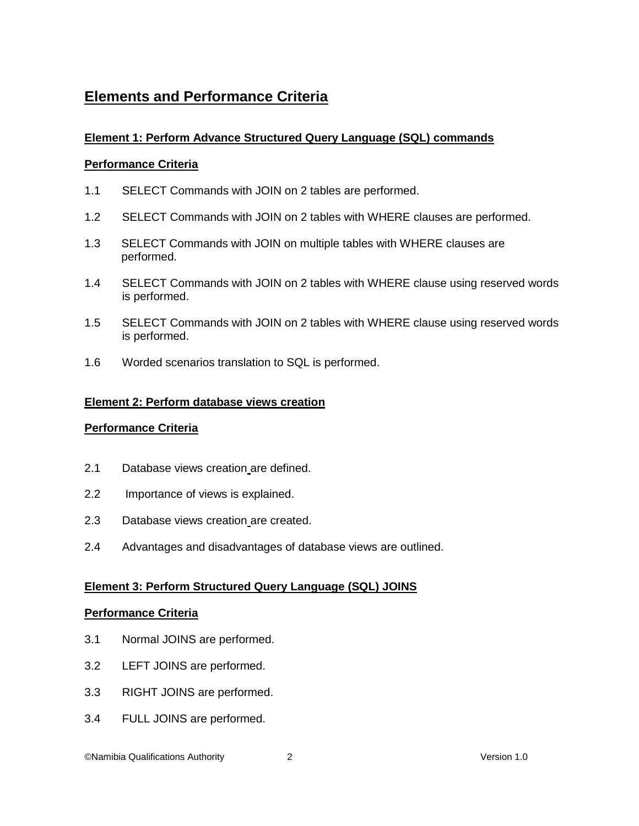# **Elements and Performance Criteria**

## **Element 1: Perform Advance Structured Query Language (SQL) commands**

### **Performance Criteria**

- 1.1 SELECT Commands with JOIN on 2 tables are performed.
- 1.2 SELECT Commands with JOIN on 2 tables with WHERE clauses are performed.
- 1.3 SELECT Commands with JOIN on multiple tables with WHERE clauses are performed.
- 1.4 SELECT Commands with JOIN on 2 tables with WHERE clause using reserved words is performed.
- 1.5 SELECT Commands with JOIN on 2 tables with WHERE clause using reserved words is performed.
- 1.6 Worded scenarios translation to SQL is performed.

### **Element 2: Perform database views creation**

### **Performance Criteria**

- 2.1 Database views creation are defined.
- 2.2 Importance of views is explained.
- 2.3 Database views creation are created.
- 2.4 Advantages and disadvantages of database views are outlined.

### **Element 3: Perform Structured Query Language (SQL) JOINS**

### **Performance Criteria**

- 3.1 Normal JOINS are performed.
- 3.2 LEFT JOINS are performed.
- 3.3 RIGHT JOINS are performed.
- 3.4 FULL JOINS are performed.